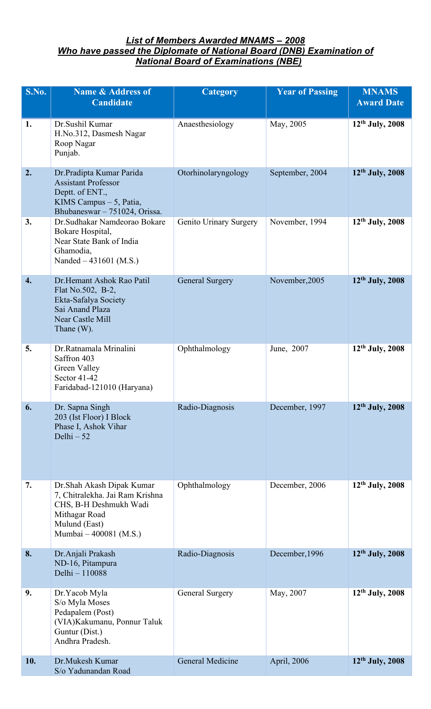## *List of Members Awarded MNAMS – 2008 Who have passed the Diplomate of National Board (DNB) Examination of National Board of Examinations (NBE)*

| <b>S.No.</b>     | <b>Name &amp; Address of</b><br><b>Candidate</b>                                                                                                    | <b>Category</b>        | <b>Year of Passing</b> | <b>MNAMS</b><br><b>Award Date</b> |
|------------------|-----------------------------------------------------------------------------------------------------------------------------------------------------|------------------------|------------------------|-----------------------------------|
| 1.               | Dr.Sushil Kumar<br>H.No.312, Dasmesh Nagar<br>Roop Nagar<br>Punjab.                                                                                 | Anaesthesiology        | May, 2005              | 12 <sup>th</sup> July, 2008       |
| 2.               | Dr.Pradipta Kumar Parida<br><b>Assistant Professor</b><br>Deptt. of ENT.,<br>KIMS Campus - 5, Patia,<br>Bhubaneswar - 751024, Orissa.               | Otorhinolaryngology    | September, 2004        | $12th$ July, 2008                 |
| 3.               | Dr. Sudhakar Namdeorao Bokare<br>Bokare Hospital,<br>Near State Bank of India<br>Ghamodia,<br>Nanded $-431601$ (M.S.)                               | Genito Urinary Surgery | November, 1994         | $12th$ July, 2008                 |
| $\overline{4}$ . | Dr. Hemant Ashok Rao Patil<br>Flat No.502, B-2,<br>Ekta-Safalya Society<br>Sai Anand Plaza<br>Near Castle Mill<br>Thane $(W)$ .                     | <b>General Surgery</b> | November, 2005         | 12th July, 2008                   |
| 5.               | Dr.Ratnamala Mrinalini<br>Saffron 403<br>Green Valley<br>Sector 41-42<br>Faridabad-121010 (Haryana)                                                 | Ophthalmology          | June, 2007             | $12th$ July, 2008                 |
| 6.               | Dr. Sapna Singh<br>203 (Ist Floor) I Block<br>Phase I, Ashok Vihar<br>Delhi $-52$                                                                   | Radio-Diagnosis        | December, 1997         | 12th July, 2008                   |
| 7.               | Dr. Shah Akash Dipak Kumar<br>7, Chitralekha. Jai Ram Krishna<br>CHS, B-H Deshmukh Wadi<br>Mithagar Road<br>Mulund (East)<br>Mumbai - 400081 (M.S.) | Ophthalmology          | December, 2006         | $12^{th}$ July, 2008              |
| 8.               | Dr. Anjali Prakash<br>ND-16, Pitampura<br>Delhi - 110088                                                                                            | Radio-Diagnosis        | December, 1996         | 12th July, 2008                   |
| 9.               | Dr. Yacob Myla<br>S/o Myla Moses<br>Pedapalem (Post)<br>(VIA) Kakumanu, Ponnur Taluk<br>Guntur (Dist.)<br>Andhra Pradesh.                           | General Surgery        | May, 2007              | $12th$ July, 2008                 |
| 10.              | Dr.Mukesh Kumar<br>S/o Yadunandan Road                                                                                                              | General Medicine       | April, 2006            | $12th$ July, 2008                 |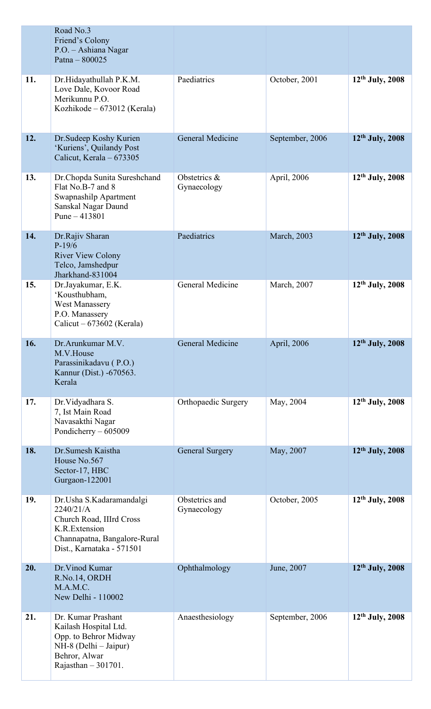|     | Road No.3<br>Friend's Colony<br>P.O. - Ashiana Nagar<br>Patna $-800025$                                                                         |                               |                 |                      |
|-----|-------------------------------------------------------------------------------------------------------------------------------------------------|-------------------------------|-----------------|----------------------|
| 11. | Dr.Hidayathullah P.K.M.<br>Love Dale, Kovoor Road<br>Merikunnu P.O.<br>Kozhikode – 673012 (Kerala)                                              | Paediatrics                   | October, 2001   | $12th$ July, 2008    |
| 12. | Dr. Sudeep Koshy Kurien<br>'Kuriens', Quilandy Post<br>Calicut, Kerala - 673305                                                                 | General Medicine              | September, 2006 | 12th July, 2008      |
| 13. | Dr.Chopda Sunita Sureshchand<br>Flat No.B-7 and 8<br>Swapnashilp Apartment<br>Sanskal Nagar Daund<br>Pune $-413801$                             | Obstetrics &<br>Gynaecology   | April, 2006     | 12th July, 2008      |
| 14. | Dr.Rajiv Sharan<br>$P-19/6$<br><b>River View Colony</b><br>Telco, Jamshedpur<br>Jharkhand-831004                                                | Paediatrics                   | March, 2003     | $12th$ July, 2008    |
| 15. | Dr.Jayakumar, E.K.<br>'Kousthubham,<br><b>West Manassery</b><br>P.O. Manassery<br>Calicut – $673602$ (Kerala)                                   | General Medicine              | March, 2007     | $12^{th}$ July, 2008 |
| 16. | Dr.Arunkumar M.V.<br>M.V.House<br>Parassinikadavu (P.O.)<br>Kannur (Dist.) -670563.<br>Kerala                                                   | General Medicine              | April, 2006     | 12th July, 2008      |
| 17. | Dr. Vidyadhara S.<br>7, Ist Main Road<br>Navasakthi Nagar<br>Pondicherry - 605009                                                               | Orthopaedic Surgery           | May, 2004       | $12th$ July, 2008    |
| 18. | Dr.Sumesh Kaistha<br>House No.567<br>Sector-17, HBC<br>Gurgaon-122001                                                                           | <b>General Surgery</b>        | May, 2007       | 12th July, 2008      |
| 19. | Dr.Usha S.Kadaramandalgi<br>2240/21/A<br>Church Road, IIIrd Cross<br>K.R.Extension<br>Channapatna, Bangalore-Rural<br>Dist., Karnataka - 571501 | Obstetrics and<br>Gynaecology | October, 2005   | $12^{th}$ July, 2008 |
| 20. | Dr. Vinod Kumar<br>R.No.14, ORDH<br>M.A.M.C.<br>New Delhi - 110002                                                                              | Ophthalmology                 | June, 2007      | 12th July, 2008      |
| 21. | Dr. Kumar Prashant<br>Kailash Hospital Ltd.<br>Opp. to Behror Midway<br>$NH-8$ (Delhi – Jaipur)<br>Behror, Alwar<br>Rajasthan $-301701$ .       | Anaesthesiology               | September, 2006 | $12th$ July, 2008    |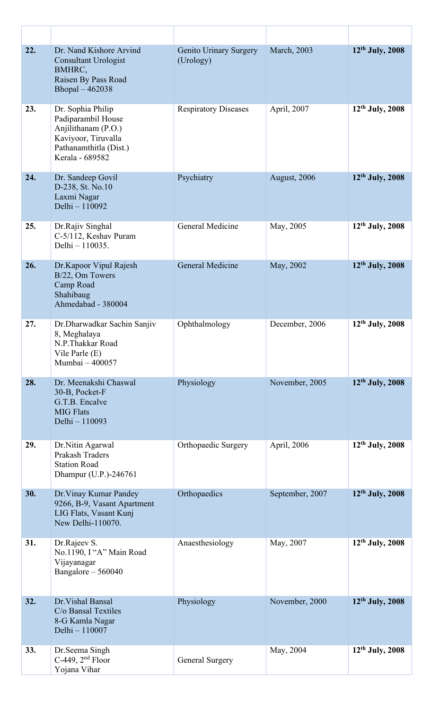| 22. | Dr. Nand Kishore Arvind<br><b>Consultant Urologist</b><br>BMHRC,<br>Raisen By Pass Road<br>Bhopal - 462038                         | Genito Urinary Surgery<br>(Urology) | March, 2003     | 12th July, 2008      |
|-----|------------------------------------------------------------------------------------------------------------------------------------|-------------------------------------|-----------------|----------------------|
| 23. | Dr. Sophia Philip<br>Padiparambil House<br>Anjilithanam (P.O.)<br>Kaviyoor, Tiruvalla<br>Pathanamthitla (Dist.)<br>Kerala - 689582 | <b>Respiratory Diseases</b>         | April, 2007     | $12^{th}$ July, 2008 |
| 24. | Dr. Sandeep Govil<br>D-238, St. No.10<br>Laxmi Nagar<br>Delhi - 110092                                                             | Psychiatry                          | August, 2006    | 12th July, 2008      |
| 25. | Dr.Rajiv Singhal<br>C-5/112, Keshav Puram<br>Delhi - 110035.                                                                       | General Medicine                    | May, 2005       | $12^{th}$ July, 2008 |
| 26. | Dr.Kapoor Vipul Rajesh<br>B/22, Om Towers<br>Camp Road<br>Shahibaug<br>Ahmedabad - 380004                                          | General Medicine                    | May, 2002       | 12th July, 2008      |
| 27. | Dr.Dharwadkar Sachin Sanjiv<br>8, Meghalaya<br>N.P. Thakkar Road<br>Vile Parle $(E)$<br>Mumbai - 400057                            | Ophthalmology                       | December, 2006  | $12th$ July, 2008    |
| 28. | Dr. Meenakshi Chaswal<br>30-B, Pocket-F<br>G.T.B. Encalve<br><b>MIG Flats</b><br>Delhi - 110093                                    | Physiology                          | November, 2005  | 12th July, 2008      |
| 29. | Dr.Nitin Agarwal<br>Prakash Traders<br><b>Station Road</b><br>Dhampur (U.P.)-246761                                                | Orthopaedic Surgery                 | April, 2006     | $12^{th}$ July, 2008 |
| 30. | Dr. Vinay Kumar Pandey<br>9266, B-9, Vasant Apartment<br>LIG Flats, Vasant Kunj<br>New Delhi-110070.                               | Orthopaedics                        | September, 2007 | 12th July, 2008      |
| 31. | Dr.Rajeev S.<br>No.1190, I "A" Main Road<br>Vijayanagar<br>Bangalore - 560040                                                      | Anaesthesiology                     | May, 2007       | $12th$ July, 2008    |
| 32. | Dr. Vishal Bansal<br>C/o Bansal Textiles<br>8-G Kamla Nagar<br>Delhi - 110007                                                      | Physiology                          | November, 2000  | 12th July, 2008      |
| 33. | Dr.Seema Singh<br>C-449, $2nd$ Floor<br>Yojana Vihar                                                                               | General Surgery                     | May, 2004       | $12^{th}$ July, 2008 |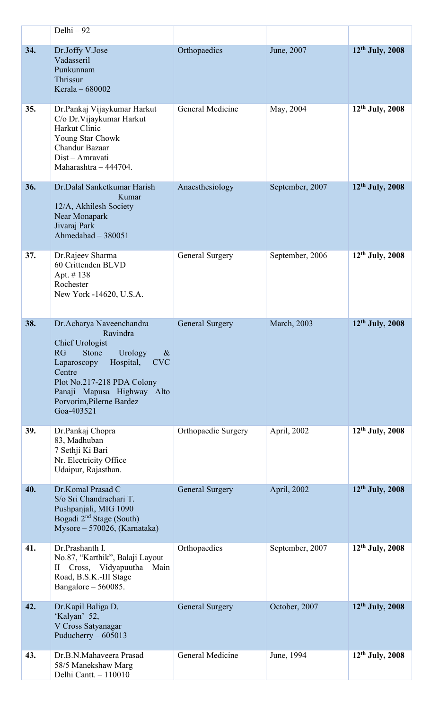|     | Delhi - 92                                                                                                                                                                                                                                                  |                        |                 |                             |
|-----|-------------------------------------------------------------------------------------------------------------------------------------------------------------------------------------------------------------------------------------------------------------|------------------------|-----------------|-----------------------------|
| 34. | Dr.Joffy V.Jose<br>Vadasseril<br>Punkunnam<br>Thrissur<br>Kerala - 680002                                                                                                                                                                                   | Orthopaedics           | June, 2007      | $12th$ July, 2008           |
| 35. | Dr.Pankaj Vijaykumar Harkut<br>C/o Dr. Vijaykumar Harkut<br>Harkut Clinic<br>Young Star Chowk<br>Chandur Bazaar<br>Dist - Amravati<br>Maharashtra - 444704.                                                                                                 | General Medicine       | May, 2004       | $12th$ July, 2008           |
| 36. | Dr. Dalal Sanketkumar Harish<br>Kumar<br>12/A, Akhilesh Society<br>Near Monapark<br>Jivaraj Park<br>Ahmedabad - 380051                                                                                                                                      | Anaesthesiology        | September, 2007 | $12th$ July, 2008           |
| 37. | Dr.Rajeev Sharma<br>60 Crittenden BLVD<br>Apt. #138<br>Rochester<br>New York -14620, U.S.A.                                                                                                                                                                 | General Surgery        | September, 2006 | $12th$ July, 2008           |
| 38. | Dr. Acharya Naveenchandra<br>Ravindra<br><b>Chief Urologist</b><br>RG<br>Stone<br>Urology<br>$\&$<br><b>CVC</b><br>Hospital,<br>Laparoscopy<br>Centre<br>Plot No.217-218 PDA Colony<br>Panaji Mapusa Highway Alto<br>Porvorim, Pilerne Bardez<br>Goa-403521 | <b>General Surgery</b> | March, 2003     | 12th July, 2008             |
| 39. | Dr.Pankaj Chopra<br>83, Madhuban<br>7 Sethji Ki Bari<br>Nr. Electricity Office<br>Udaipur, Rajasthan.                                                                                                                                                       | Orthopaedic Surgery    | April, 2002     | 12 <sup>th</sup> July, 2008 |
| 40. | Dr.Komal Prasad C<br>S/o Sri Chandrachari T.<br>Pushpanjali, MIG 1090<br>Bogadi 2 <sup>nd</sup> Stage (South)<br>Mysore - 570026, (Karnataka)                                                                                                               | <b>General Surgery</b> | April, 2002     | 12th July, 2008             |
| 41. | Dr.Prashanth I.<br>No.87, "Karthik", Balaji Layout<br>II Cross, Vidyapuutha Main<br>Road, B.S.K.-III Stage<br>Bangalore $-560085$ .                                                                                                                         | Orthopaedics           | September, 2007 | $12th$ July, 2008           |
| 42. | Dr.Kapil Baliga D.<br>'Kalyan' 52,<br>V Cross Satyanagar<br>Puducherry $-605013$                                                                                                                                                                            | <b>General Surgery</b> | October, 2007   | 12th July, 2008             |
| 43. | Dr.B.N.Mahaveera Prasad<br>58/5 Manekshaw Marg<br>Delhi Cantt. - 110010                                                                                                                                                                                     | General Medicine       | June, 1994      | 12 <sup>th</sup> July, 2008 |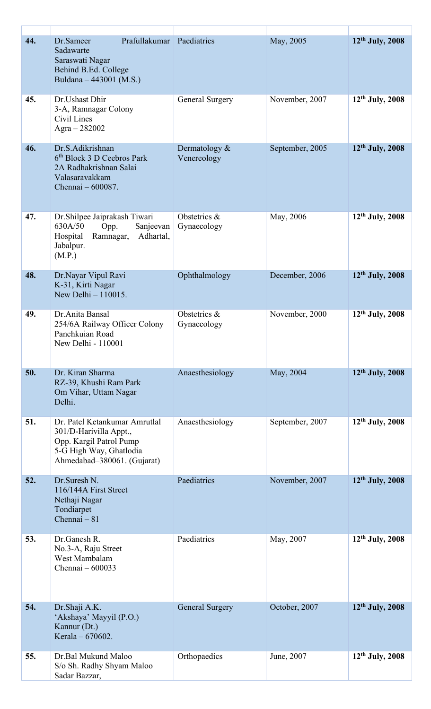| 44. | Prafullakumar Paediatrics<br>Dr.Sameer<br>Sadawarte<br>Saraswati Nagar<br>Behind B.Ed. College<br>Buldana - 443001 (M.S.)                    |                                 | May, 2005       | 12th July, 2008      |
|-----|----------------------------------------------------------------------------------------------------------------------------------------------|---------------------------------|-----------------|----------------------|
| 45. | Dr. Ushast Dhir<br>3-A, Ramnagar Colony<br>Civil Lines<br>Agra $-282002$                                                                     | General Surgery                 | November, 2007  | 12th July, 2008      |
| 46. | Dr.S.Adikrishnan<br>6 <sup>th</sup> Block 3 D Ceebros Park<br>2A Radhakrishnan Salai<br>Valasaravakkam<br>Chennai - 600087.                  | Dermatology $\&$<br>Venereology | September, 2005 | $12^{th}$ July, 2008 |
| 47. | Dr.Shilpee Jaiprakash Tiwari<br>630A/50<br>Opp.<br>Sanjeevan<br>Hospital<br>Ramnagar,<br>Adhartal,<br>Jabalpur.<br>(M.P.)                    | Obstetrics &<br>Gynaecology     | May, 2006       | $12th$ July, 2008    |
| 48. | Dr.Nayar Vipul Ravi<br>K-31, Kirti Nagar<br>New Delhi - 110015.                                                                              | Ophthalmology                   | December, 2006  | $12th$ July, 2008    |
| 49. | Dr.Anita Bansal<br>254/6A Railway Officer Colony<br>Panchkuian Road<br>New Delhi - 110001                                                    | Obstetrics &<br>Gynaecology     | November, 2000  | $12th$ July, 2008    |
| 50. | Dr. Kiran Sharma<br>RZ-39, Khushi Ram Park<br>Om Vihar, Uttam Nagar<br>Delhi.                                                                | Anaesthesiology                 | May, 2004       | $12^{th}$ July, 2008 |
| 51. | Dr. Patel Ketankumar Amrutlal<br>301/D-Harivilla Appt.,<br>Opp. Kargil Patrol Pump<br>5-G High Way, Ghatlodia<br>Ahmedabad-380061. (Gujarat) | Anaesthesiology                 | September, 2007 | $12th$ July, 2008    |
| 52. | Dr.Suresh N.<br>116/144A First Street<br>Nethaji Nagar<br>Tondiarpet<br>Chennai - 81                                                         | Paediatrics                     | November, 2007  | $12th$ July, 2008    |
| 53. | Dr.Ganesh R.<br>No.3-A, Raju Street<br>West Mambalam<br>Chennai - 600033                                                                     | Paediatrics                     | May, 2007       | $12th$ July, 2008    |
| 54. | Dr.Shaji A.K.<br>'Akshaya' Mayyil (P.O.)<br>Kannur (Dt.)<br>Kerala - 670602.                                                                 | <b>General Surgery</b>          | October, 2007   | $12th$ July, 2008    |
| 55. | Dr.Bal Mukund Maloo<br>S/o Sh. Radhy Shyam Maloo<br>Sadar Bazzar,                                                                            | Orthopaedics                    | June, 2007      | $12th$ July, 2008    |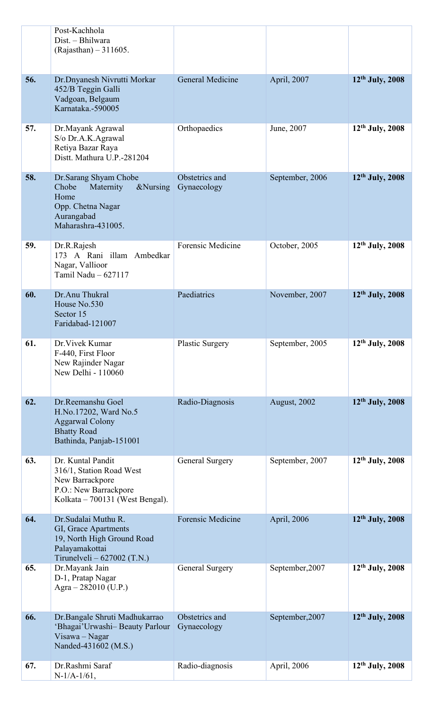|     | Post-Kachhola<br>Dist. - Bhilwara<br>$(Rajasthan) - 311605.$                                                                 |                               |                 |                             |
|-----|------------------------------------------------------------------------------------------------------------------------------|-------------------------------|-----------------|-----------------------------|
| 56. | Dr.Dnyanesh Nivrutti Morkar<br>452/B Teggin Galli<br>Vadgoan, Belgaum<br>Karnataka.-590005                                   | General Medicine              | April, 2007     | 12th July, 2008             |
| 57. | Dr. Mayank Agrawal<br>S/o Dr.A.K.Agrawal<br>Retiya Bazar Raya<br>Distt. Mathura U.P.-281204                                  | Orthopaedics                  | June, 2007      | $12th$ July, 2008           |
| 58. | Dr. Sarang Shyam Chobe<br>Chobe<br>Maternity<br>&Nursing<br>Home<br>Opp. Chetna Nagar<br>Aurangabad<br>Maharashra-431005.    | Obstetrics and<br>Gynaecology | September, 2006 | 12th July, 2008             |
| 59. | Dr.R.Rajesh<br>173 A Rani illam Ambedkar<br>Nagar, Vallioor<br>Tamil Nadu - 627117                                           | Forensic Medicine             | October, 2005   | 12th July, 2008             |
| 60. | Dr.Anu Thukral<br>House No.530<br>Sector 15<br>Faridabad-121007                                                              | Paediatrics                   | November, 2007  | 12th July, 2008             |
| 61. | Dr. Vivek Kumar<br>F-440, First Floor<br>New Rajinder Nagar<br>New Delhi - 110060                                            | <b>Plastic Surgery</b>        | September, 2005 | $12th$ July, 2008           |
| 62. | Dr.Reemanshu Goel<br>H.No.17202, Ward No.5<br><b>Aggarwal Colony</b><br><b>Bhatty Road</b><br>Bathinda, Panjab-151001        | Radio-Diagnosis               | August, 2002    | $12th$ July, 2008           |
| 63. | Dr. Kuntal Pandit<br>316/1, Station Road West<br>New Barrackpore<br>P.O.: New Barrackpore<br>Kolkata – 700131 (West Bengal). | General Surgery               | September, 2007 | 12 <sup>th</sup> July, 2008 |
| 64. | Dr. Sudalai Muthu R.<br>GI, Grace Apartments<br>19, North High Ground Road<br>Palayamakottai<br>Tirunelveli $-627002$ (T.N.) | Forensic Medicine             | April, 2006     | 12th July, 2008             |
| 65. | Dr.Mayank Jain<br>D-1, Pratap Nagar<br>Agra $-282010$ (U.P.)                                                                 | General Surgery               | September, 2007 | 12 <sup>th</sup> July, 2008 |
| 66. | Dr.Bangale Shruti Madhukarrao<br>'Bhagai'Urwashi-Beauty Parlour<br>Visawa – Nagar<br>Nanded-431602 (M.S.)                    | Obstetrics and<br>Gynaecology | September, 2007 | 12 <sup>th</sup> July, 2008 |
| 67. | Dr.Rashmi Saraf<br>$N-1/A-1/61$ ,                                                                                            | Radio-diagnosis               | April, 2006     | 12th July, 2008             |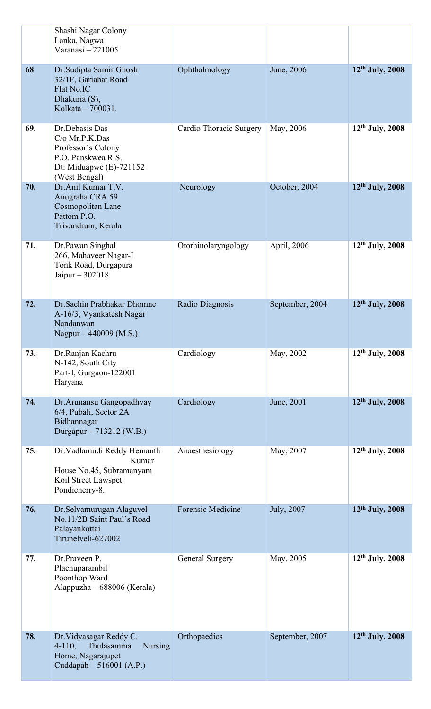|     | Shashi Nagar Colony<br>Lanka, Nagwa<br>Varanasi-221005                                                                      |                          |                 |                             |
|-----|-----------------------------------------------------------------------------------------------------------------------------|--------------------------|-----------------|-----------------------------|
| 68  | Dr.Sudipta Samir Ghosh<br>32/1F, Gariahat Road<br>Flat No.IC<br>Dhakuria (S),<br>Kolkata - 700031.                          | Ophthalmology            | June, 2006      | $12th$ July, 2008           |
| 69. | Dr.Debasis Das<br>C/o Mr.P.K.Das<br>Professor's Colony<br>P.O. Panskwea R.S.<br>Dt: Miduapwe $(E)$ -721152<br>(West Bengal) | Cardio Thoracic Surgery  | May, 2006       | $12^{th}$ July, 2008        |
| 70. | Dr.Anil Kumar T.V.<br>Anugraha CRA 59<br>Cosmopolitan Lane<br>Pattom P.O.<br>Trivandrum, Kerala                             | Neurology                | October, 2004   | 12 <sup>th</sup> July, 2008 |
| 71. | Dr.Pawan Singhal<br>266, Mahaveer Nagar-I<br>Tonk Road, Durgapura<br>Jaipur $-302018$                                       | Otorhinolaryngology      | April, 2006     | $12th$ July, 2008           |
| 72. | Dr. Sachin Prabhakar Dhomne<br>A-16/3, Vyankatesh Nagar<br>Nandanwan<br>Nagpur $-440009$ (M.S.)                             | Radio Diagnosis          | September, 2004 | 12th July, 2008             |
| 73. | Dr.Ranjan Kachru<br>N-142, South City<br>Part-I, Gurgaon-122001<br>Haryana                                                  | Cardiology               | May, 2002       | $12^{th}$ July, 2008        |
| 74. | Dr. Arunansu Gangopadhyay<br>6/4, Pubali, Sector 2A<br>Bidhannagar<br>Durgapur - 713212 (W.B.)                              | Cardiology               | June, 2001      | $12th$ July, 2008           |
| 75. | Dr. Vadlamudi Reddy Hemanth<br>Kumar<br>House No.45, Subramanyam<br>Koil Street Lawspet<br>Pondicherry-8.                   | Anaesthesiology          | May, 2007       | $12th$ July, 2008           |
| 76. | Dr.Selvamurugan Alaguvel<br>No.11/2B Saint Paul's Road<br>Palayankottai<br>Tirunelveli-627002                               | <b>Forensic Medicine</b> | July, 2007      | $12th$ July, 2008           |
| 77. | Dr.Praveen P.<br>Plachuparambil<br>Poonthop Ward<br>Alappuzha - 688006 (Kerala)                                             | General Surgery          | May, 2005       | 12th July, 2008             |
| 78. | Dr. Vidyasagar Reddy C.<br>Thulasamma<br>$4-110,$<br><b>Nursing</b><br>Home, Nagarajupet<br>Cuddapah $-516001$ (A.P.)       | Orthopaedics             | September, 2007 | 12th July, 2008             |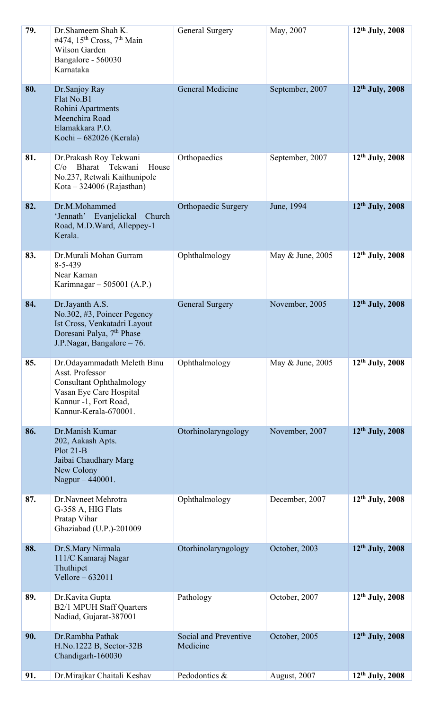| 79. | Dr. Shameem Shah K.<br>#474, $15th Cross, 7th Main$<br>Wilson Garden<br>Bangalore - 560030<br>Karnataka                                                        | General Surgery                   | May, 2007        | $12th$ July, 2008    |
|-----|----------------------------------------------------------------------------------------------------------------------------------------------------------------|-----------------------------------|------------------|----------------------|
| 80. | Dr.Sanjoy Ray<br>Flat No.B1<br>Rohini Apartments<br>Meenchira Road<br>Elamakkara P.O.<br>Kochi – 682026 (Kerala)                                               | General Medicine                  | September, 2007  | 12th July, 2008      |
| 81. | Dr.Prakash Roy Tekwani<br>$C/O$ Bharat<br>Tekwani<br>House<br>No.237, Retwali Kaithunipole<br>Kota $-324006$ (Rajasthan)                                       | Orthopaedics                      | September, 2007  | $12^{th}$ July, 2008 |
| 82. | Dr.M.Mohammed<br>'Jennath' Evanjelickal<br>Church<br>Road, M.D.Ward, Alleppey-1<br>Kerala.                                                                     | <b>Orthopaedic Surgery</b>        | June, 1994       | 12th July, 2008      |
| 83. | Dr.Murali Mohan Gurram<br>$8 - 5 - 439$<br>Near Kaman<br>Karimnagar – 505001 (A.P.)                                                                            | Ophthalmology                     | May & June, 2005 | $12^{th}$ July, 2008 |
| 84. | Dr.Jayanth A.S.<br>No.302, #3, Poineer Pegency<br>Ist Cross, Venkatadri Layout<br>Doresani Palya, 7 <sup>th</sup> Phase<br>J.P.Nagar, Bangalore – 76.          | <b>General Surgery</b>            | November, 2005   | 12th July, 2008      |
| 85. | Dr.Odayammadath Meleth Binu<br>Asst. Professor<br><b>Consultant Ophthalmology</b><br>Vasan Eye Care Hospital<br>Kannur -1, Fort Road,<br>Kannur-Kerala-670001. | Ophthalmology                     | May & June, 2005 | $12th$ July, 2008    |
| 86. | Dr.Manish Kumar<br>202, Aakash Apts.<br>$Plot 21-B$<br>Jaibai Chaudhary Marg<br>New Colony<br>Nagpur - 440001.                                                 | Otorhinolaryngology               | November, 2007   | 12th July, 2008      |
| 87. | Dr.Navneet Mehrotra<br>G-358 A, HIG Flats<br>Pratap Vihar<br>Ghaziabad (U.P.)-201009                                                                           | Ophthalmology                     | December, 2007   | $12th$ July, 2008    |
| 88. | Dr.S.Mary Nirmala<br>111/C Kamaraj Nagar<br>Thuthipet<br>Vellore $-632011$                                                                                     | Otorhinolaryngology               | October, 2003    | $12th$ July, 2008    |
| 89. | Dr.Kavita Gupta<br><b>B2/1 MPUH Staff Quarters</b><br>Nadiad, Gujarat-387001                                                                                   | Pathology                         | October, 2007    | $12^{th}$ July, 2008 |
| 90. | Dr.Rambha Pathak<br>H.No.1222 B, Sector-32B<br>Chandigarh-160030                                                                                               | Social and Preventive<br>Medicine | October, 2005    | 12th July, 2008      |
| 91. | Dr.Mirajkar Chaitali Keshav                                                                                                                                    | Pedodontics &                     | August, 2007     | $12th$ July, 2008    |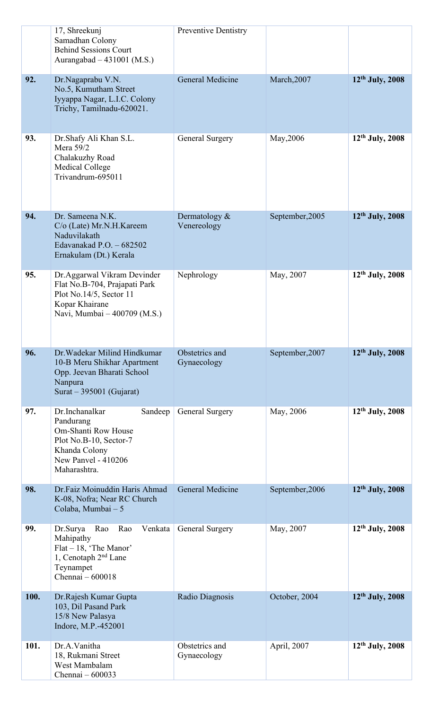|      | 17, Shreekunj<br>Samadhan Colony<br><b>Behind Sessions Court</b><br>Aurangabad $-431001$ (M.S.)                                                        | <b>Preventive Dentistry</b>     |                 |                   |
|------|--------------------------------------------------------------------------------------------------------------------------------------------------------|---------------------------------|-----------------|-------------------|
| 92.  | Dr.Nagaprabu V.N.<br>No.5, Kumutham Street<br>Iyyappa Nagar, L.I.C. Colony<br>Trichy, Tamilnadu-620021.                                                | General Medicine                | March, 2007     | $12th$ July, 2008 |
| 93.  | Dr. Shafy Ali Khan S.L.<br>Mera 59/2<br>Chalakuzhy Road<br><b>Medical College</b><br>Trivandrum-695011                                                 | General Surgery                 | May, 2006       | 12th July, 2008   |
| 94.  | Dr. Sameena N.K.<br>C/o (Late) Mr.N.H.Kareem<br>Naduvilakath<br>Edavanakad P.O. $-682502$<br>Ernakulam (Dt.) Kerala                                    | Dermatology $\&$<br>Venereology | September, 2005 | 12th July, 2008   |
| 95.  | Dr.Aggarwal Vikram Devinder<br>Flat No.B-704, Prajapati Park<br>Plot No.14/5, Sector 11<br>Kopar Khairane<br>Navi, Mumbai - 400709 (M.S.)              | Nephrology                      | May, 2007       | $12th$ July, 2008 |
| 96.  | Dr. Wadekar Milind Hindkumar<br>10-B Meru Shikhar Apartment<br>Opp. Jeevan Bharati School<br>Nanpura<br>Surat $-395001$ (Gujarat)                      | Obstetrics and<br>Gynaecology   | September, 2007 | 12th July, 2008   |
| 97.  | Dr.Inchanalkar<br>Sandeep<br>Pandurang<br>Om-Shanti Row House<br>Plot No.B-10, Sector-7<br>Khanda Colony<br><b>New Panyel - 410206</b><br>Maharashtra. | General Surgery                 | May, 2006       | 12th July, 2008   |
| 98.  | Dr.Faiz Moinuddin Haris Ahmad<br>K-08, Nofra; Near RC Church<br>Colaba, Mumbai - 5                                                                     | General Medicine                | September, 2006 | 12th July, 2008   |
| 99.  | Dr.Surya<br>Rao<br>Rao<br>Venkata<br>Mahipathy<br>$Flat-18$ , 'The Manor'<br>1, Cenotaph $2nd$ Lane<br>Teynampet<br>Chennai - 600018                   | General Surgery                 | May, 2007       | $12th$ July, 2008 |
| 100. | Dr.Rajesh Kumar Gupta<br>103, Dil Pasand Park<br>15/8 New Palasya<br>Indore, M.P.-452001                                                               | Radio Diagnosis                 | October, 2004   | $12th$ July, 2008 |
| 101. | Dr.A.Vanitha<br>18, Rukmani Street<br>West Mambalam<br>Chennai - 600033                                                                                | Obstetrics and<br>Gynaecology   | April, 2007     | $12th$ July, 2008 |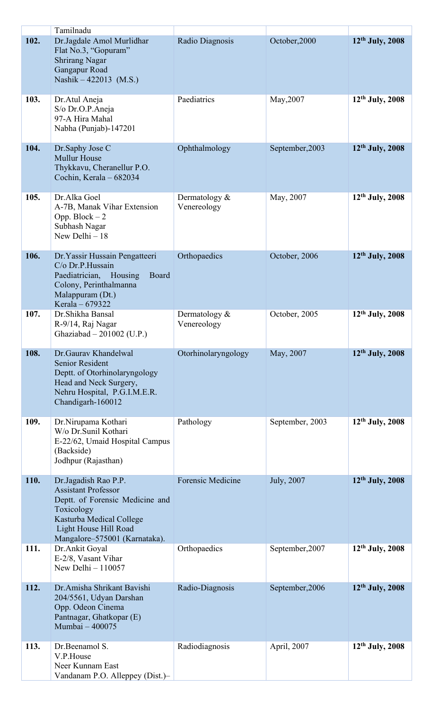| 102. | Tamilnadu<br>Dr.Jagdale Amol Murlidhar                 | Radio Diagnosis     | October, 2000   | $12th$ July, 2008    |
|------|--------------------------------------------------------|---------------------|-----------------|----------------------|
|      | Flat No.3, "Gopuram"                                   |                     |                 |                      |
|      | <b>Shrirang Nagar</b><br>Gangapur Road                 |                     |                 |                      |
|      | Nashik $-422013$ (M.S.)                                |                     |                 |                      |
| 103. | Dr. Atul Aneja                                         | Paediatrics         | May, 2007       | $12th$ July, 2008    |
|      | S/o Dr.O.P.Aneja                                       |                     |                 |                      |
|      | 97-A Hira Mahal                                        |                     |                 |                      |
|      | Nabha (Punjab)-147201                                  |                     |                 |                      |
| 104. | Dr.Saphy Jose C<br><b>Mullur House</b>                 | Ophthalmology       | September, 2003 | $12th$ July, 2008    |
|      | Thykkavu, Cheranellur P.O.                             |                     |                 |                      |
|      | Cochin, Kerala - 682034                                |                     |                 |                      |
| 105. | Dr.Alka Goel                                           | Dermatology $\&$    | May, 2007       | $12th$ July, 2008    |
|      | A-7B, Manak Vihar Extension<br>Opp. Block $-2$         | Venereology         |                 |                      |
|      | Subhash Nagar                                          |                     |                 |                      |
|      | New Delhi $-18$                                        |                     |                 |                      |
| 106. | Dr. Yassir Hussain Pengatteeri                         | Orthopaedics        | October, 2006   | 12th July, 2008      |
|      | C/o Dr.P.Hussain<br>Paediatrician, Housing<br>Board    |                     |                 |                      |
|      | Colony, Perinthalmanna                                 |                     |                 |                      |
|      | Malappuram (Dt.)<br>Kerala – 679322                    |                     |                 |                      |
| 107. | Dr. Shikha Bansal                                      | Dermatology $\&$    | October, 2005   | $12th$ July, 2008    |
|      | R-9/14, Raj Nagar<br>Ghaziabad - 201002 (U.P.)         | Venereology         |                 |                      |
|      |                                                        |                     |                 |                      |
| 108. | Dr. Gaurav Khandelwal<br><b>Senior Resident</b>        | Otorhinolaryngology | May, 2007       | 12th July, 2008      |
|      | Deptt. of Otorhinolaryngology                          |                     |                 |                      |
|      | Head and Neck Surgery,<br>Nehru Hospital, P.G.I.M.E.R. |                     |                 |                      |
|      | Chandigarh-160012                                      |                     |                 |                      |
| 109. | Dr.Nirupama Kothari                                    | Pathology           | September, 2003 | $12th$ July, 2008    |
|      | W/o Dr.Sunil Kothari                                   |                     |                 |                      |
|      | E-22/62, Umaid Hospital Campus<br>(Backside)           |                     |                 |                      |
|      | Jodhpur (Rajasthan)                                    |                     |                 |                      |
| 110. | Dr.Jagadish Rao P.P.                                   | Forensic Medicine   | July, 2007      | $12th$ July, 2008    |
|      | <b>Assistant Professor</b>                             |                     |                 |                      |
|      | Deptt. of Forensic Medicine and<br>Toxicology          |                     |                 |                      |
|      | Kasturba Medical College<br>Light House Hill Road      |                     |                 |                      |
|      | Mangalore–575001 (Karnataka).                          |                     |                 |                      |
| 111. | Dr.Ankit Goyal<br>E-2/8, Vasant Vihar                  | Orthopaedics        | September, 2007 | $12th$ July, 2008    |
|      | New Delhi $-110057$                                    |                     |                 |                      |
| 112. | Dr.Amisha Shrikant Bavishi                             | Radio-Diagnosis     | September, 2006 | 12th July, 2008      |
|      | 204/5561, Udyan Darshan                                |                     |                 |                      |
|      | Opp. Odeon Cinema<br>Pantnagar, Ghatkopar (E)          |                     |                 |                      |
|      | Mumbai - 400075                                        |                     |                 |                      |
| 113. | Dr.Beenamol S.                                         | Radiodiagnosis      | April, 2007     | $12^{th}$ July, 2008 |
|      | V.P.House                                              |                     |                 |                      |
|      | Neer Kunnam East<br>Vandanam P.O. Alleppey (Dist.)-    |                     |                 |                      |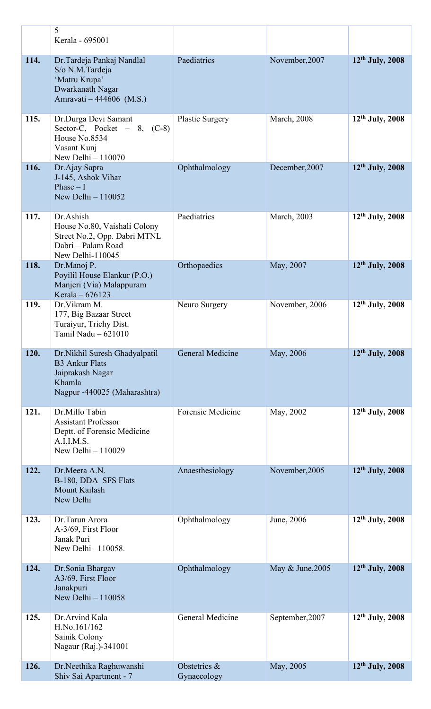|      | 5<br>Kerala - 695001                                                                                                 |                             |                     |                             |
|------|----------------------------------------------------------------------------------------------------------------------|-----------------------------|---------------------|-----------------------------|
| 114. | Dr. Tardeja Pankaj Nandlal<br>S/o N.M.Tardeja<br>'Matru Krupa'<br>Dwarkanath Nagar<br>Amravati - 444606 (M.S.)       | Paediatrics                 | November, 2007      | $12th$ July, 2008           |
| 115. | Dr.Durga Devi Samant<br>Sector-C, Pocket $-8$ , (C-8)<br>House No.8534<br>Vasant Kunj<br>New Delhi $-110070$         | <b>Plastic Surgery</b>      | <b>March</b> , 2008 | $12th$ July, 2008           |
| 116. | Dr.Ajay Sapra<br>J-145, Ashok Vihar<br>Phase $-1$<br>New Delhi $-110052$                                             | Ophthalmology               | December, 2007      | 12th July, 2008             |
| 117. | Dr.Ashish<br>House No.80, Vaishali Colony<br>Street No.2, Opp. Dabri MTNL<br>Dabri - Palam Road<br>New Delhi-110045  | Paediatrics                 | March, 2003         | $12th$ July, 2008           |
| 118. | Dr.Manoj P.<br>Poyilil House Elankur (P.O.)<br>Manjeri (Via) Malappuram<br>Kerala $-676123$                          | Orthopaedics                | May, 2007           | $12th$ July, 2008           |
| 119. | Dr. Vikram M.<br>177, Big Bazaar Street<br>Turaiyur, Trichy Dist.<br>Tamil Nadu - 621010                             | Neuro Surgery               | November, 2006      | $12th$ July, 2008           |
| 120. | Dr.Nikhil Suresh Ghadyalpatil<br><b>B3 Ankur Flats</b><br>Jaiprakash Nagar<br>Khamla<br>Nagpur -440025 (Maharashtra) | General Medicine            | May, 2006           | 12th July, 2008             |
| 121. | Dr.Millo Tabin<br><b>Assistant Professor</b><br>Deptt. of Forensic Medicine<br>A.I.I.M.S.<br>New Delhi $-110029$     | <b>Forensic Medicine</b>    | May, 2002           | $12th$ July, 2008           |
| 122. | Dr.Meera A.N.<br>B-180, DDA SFS Flats<br><b>Mount Kailash</b><br>New Delhi                                           | Anaesthesiology             | November, 2005      | 12th July, 2008             |
| 123. | Dr.Tarun Arora<br>A-3/69, First Floor<br>Janak Puri<br>New Delhi -110058.                                            | Ophthalmology               | June, 2006          | $12th$ July, 2008           |
| 124. | Dr.Sonia Bhargav<br>A3/69, First Floor<br>Janakpuri<br>New Delhi $-110058$                                           | Ophthalmology               | May & June, 2005    | $12th$ July, 2008           |
| 125. | Dr.Arvind Kala<br>H.No.161/162<br>Sainik Colony<br>Nagaur (Raj.)-341001                                              | General Medicine            | September, 2007     | $12th$ July, 2008           |
| 126. | Dr.Neethika Raghuwanshi<br>Shiv Sai Apartment - 7                                                                    | Obstetrics &<br>Gynaecology | May, 2005           | 12 <sup>th</sup> July, 2008 |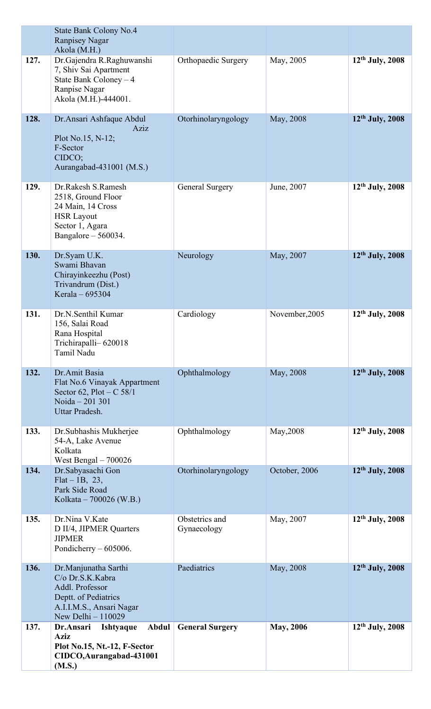|      | State Bank Colony No.4<br><b>Ranpisey Nagar</b><br>Akola (M.H.)                                                                        |                               |                  |                      |
|------|----------------------------------------------------------------------------------------------------------------------------------------|-------------------------------|------------------|----------------------|
| 127. | Dr.Gajendra R.Raghuwanshi<br>7, Shiv Sai Apartment<br>State Bank Coloney $-4$<br>Ranpise Nagar<br>Akola (M.H.)-444001.                 | Orthopaedic Surgery           | May, 2005        | $12^{th}$ July, 2008 |
| 128. | Dr. Ansari Ashfaque Abdul<br>Aziz<br>Plot No.15, N-12;<br>F-Sector<br>CIDCO;<br>Aurangabad-431001 (M.S.)                               | Otorhinolaryngology           | May, 2008        | $12th$ July, 2008    |
| 129. | Dr.Rakesh S.Ramesh<br>2518, Ground Floor<br>24 Main, 14 Cross<br><b>HSR Layout</b><br>Sector 1, Agara<br>Bangalore – 560034.           | <b>General Surgery</b>        | June, 2007       | $12th$ July, 2008    |
| 130. | Dr.Syam U.K.<br>Swami Bhavan<br>Chirayinkeezhu (Post)<br>Trivandrum (Dist.)<br>Kerala - 695304                                         | Neurology                     | May, 2007        | $12th$ July, 2008    |
| 131. | Dr.N.Senthil Kumar<br>156, Salai Road<br>Rana Hospital<br>Trichirapalli– 620018<br>Tamil Nadu                                          | Cardiology                    | November, 2005   | $12th$ July, 2008    |
| 132. | Dr.Amit Basia<br>Flat No.6 Vinayak Appartment<br>Sector 62, Plot $-C$ 58/1<br>Noida - 201 301<br>Uttar Pradesh.                        | Ophthalmology                 | May, 2008        | 12th July, 2008      |
| 133. | Dr. Subhashis Mukherjee<br>54-A, Lake Avenue<br>Kolkata<br>West Bengal $-700026$                                                       | Ophthalmology                 | May, 2008        | $12th$ July, 2008    |
| 134. | Dr.Sabyasachi Gon<br>$Flat - 1B, 23,$<br>Park Side Road<br>Kolkata – 700026 (W.B.)                                                     | Otorhinolaryngology           | October, 2006    | $12th$ July, 2008    |
| 135. | Dr.Nina V.Kate<br>D II/4, JIPMER Quarters<br><b>JIPMER</b><br>Pondicherry $-605006$ .                                                  | Obstetrics and<br>Gynaecology | May, 2007        | $12th$ July, 2008    |
| 136. | Dr.Manjunatha Sarthi<br>C/o Dr.S.K.Kabra<br>Addl. Professor<br>Deptt. of Pediatrics<br>A.I.I.M.S., Ansari Nagar<br>New Delhi $-110029$ | Paediatrics                   | May, 2008        | $12th$ July, 2008    |
| 137. | Abdul<br>Dr.Ansari<br><b>Ishtyaque</b><br><b>Aziz</b><br>Plot No.15, Nt.-12, F-Sector<br>CIDCO, Aurangabad-431001<br>(M.S.)            | <b>General Surgery</b>        | <b>May, 2006</b> | $12th$ July, 2008    |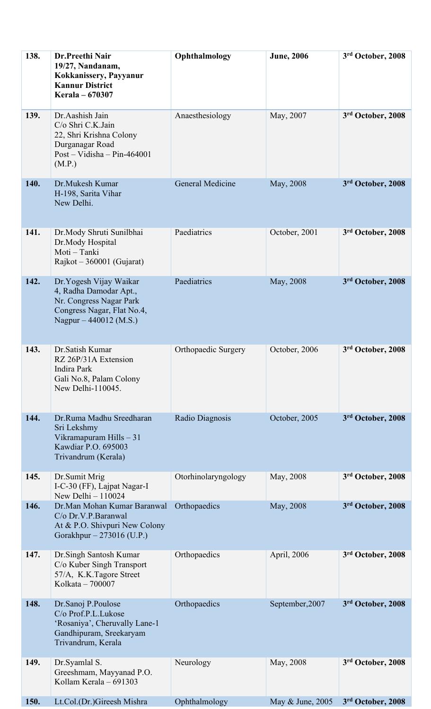| 138. | Dr.Preethi Nair<br>19/27, Nandanam,<br>Kokkanissery, Payyanur<br><b>Kannur District</b><br>Kerala - 670307                           | Ophthalmology           | <b>June</b> , 2006 | 3rd October, 2008 |
|------|--------------------------------------------------------------------------------------------------------------------------------------|-------------------------|--------------------|-------------------|
| 139. | Dr.Aashish Jain<br>C/o Shri C.K.Jain<br>22, Shri Krishna Colony<br>Durganagar Road<br>$Post - Vidisha - Pin-464001$<br>(M.P.)        | Anaesthesiology         | May, 2007          | 3rd October, 2008 |
| 140. | Dr.Mukesh Kumar<br>H-198, Sarita Vihar<br>New Delhi.                                                                                 | <b>General Medicine</b> | May, 2008          | 3rd October, 2008 |
| 141. | Dr.Mody Shruti Sunilbhai<br>Dr.Mody Hospital<br>Moti - Tanki<br>Rajkot – 360001 (Gujarat)                                            | Paediatrics             | October, 2001      | 3rd October, 2008 |
| 142. | Dr. Yogesh Vijay Waikar<br>4, Radha Damodar Apt.,<br>Nr. Congress Nagar Park<br>Congress Nagar, Flat No.4,<br>Nagpur – 440012 (M.S.) | Paediatrics             | May, 2008          | 3rd October, 2008 |
| 143. | Dr. Satish Kumar<br>RZ 26P/31A Extension<br>Indira Park<br>Gali No.8, Palam Colony<br>New Delhi-110045.                              | Orthopaedic Surgery     | October, 2006      | 3rd October, 2008 |
| 144. | Dr.Ruma Madhu Sreedharan<br>Sri Lekshmy<br>Vikramapuram Hills - 31<br>Kawdiar P.O. 695003<br>Trivandrum (Kerala)                     | Radio Diagnosis         | October, 2005      | 3rd October, 2008 |
| 145. | Dr.Sumit Mrig<br>I-C-30 (FF), Lajpat Nagar-I<br>New Delhi $-110024$                                                                  | Otorhinolaryngology     | May, 2008          | 3rd October, 2008 |
| 146. | Dr.Man Mohan Kumar Baranwal<br>C/o Dr.V.P.Baranwal<br>At & P.O. Shivpuri New Colony<br>Gorakhpur – 273016 (U.P.)                     | Orthopaedics            | May, 2008          | 3rd October, 2008 |
| 147. | Dr.Singh Santosh Kumar<br>C/o Kuber Singh Transport<br>57/A, K.K.Tagore Street<br>Kolkata - 700007                                   | Orthopaedics            | April, 2006        | 3rd October, 2008 |
| 148. | Dr.Sanoj P.Poulose<br>C/o Prof.P.L.Lukose<br>'Rosaniya', Cheruvally Lane-1<br>Gandhipuram, Sreekaryam<br>Trivandrum, Kerala          | Orthopaedics            | September, 2007    | 3rd October, 2008 |
| 149. | Dr.Syamlal S.<br>Greeshmam, Mayyanad P.O.<br>Kollam Kerala - 691303                                                                  | Neurology               | May, 2008          | 3rd October, 2008 |
| 150. | Lt.Col.(Dr.)Gireesh Mishra                                                                                                           | Ophthalmology           | May & June, 2005   | 3rd October, 2008 |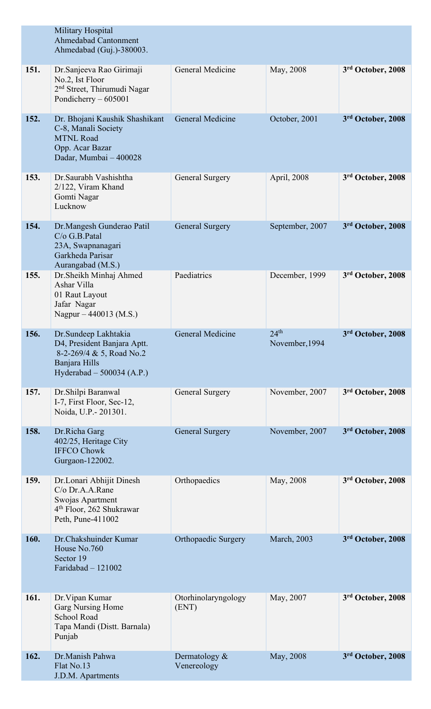|      | Military Hospital<br><b>Ahmedabad Cantonment</b><br>Ahmedabad (Guj.)-380003.                                                                 |                              |                                    |                   |
|------|----------------------------------------------------------------------------------------------------------------------------------------------|------------------------------|------------------------------------|-------------------|
| 151. | Dr. Sanjeeva Rao Girimaji<br>No.2, Ist Floor<br>2 <sup>nd</sup> Street, Thirumudi Nagar<br>Pondicherry $-605001$                             | General Medicine             | May, 2008                          | 3rd October, 2008 |
| 152. | Dr. Bhojani Kaushik Shashikant<br>C-8, Manali Society<br><b>MTNL Road</b><br>Opp. Acar Bazar<br>Dadar, Mumbai - 400028                       | <b>General Medicine</b>      | October, 2001                      | 3rd October, 2008 |
| 153. | Dr. Saurabh Vashishtha<br>2/122, Viram Khand<br>Gomti Nagar<br>Lucknow                                                                       | General Surgery              | April, 2008                        | 3rd October, 2008 |
| 154. | Dr.Mangesh Gunderao Patil<br>C/o G.B.Patal<br>23A, Swapnanagari<br>Garkheda Parisar<br>Aurangabad (M.S.)                                     | <b>General Surgery</b>       | September, 2007                    | 3rd October, 2008 |
| 155. | Dr. Sheikh Minhaj Ahmed<br>Ashar Villa<br>01 Raut Layout<br>Jafar Nagar<br>Nagpur – 440013 (M.S.)                                            | Paediatrics                  | December, 1999                     | 3rd October, 2008 |
| 156. | Dr. Sundeep Lakhtakia<br>D <sub>4</sub> , President Banjara Aptt.<br>8-2-269/4 & 5, Road No.2<br>Banjara Hills<br>Hyderabad $-500034$ (A.P.) | General Medicine             | 24 <sup>th</sup><br>November, 1994 | 3rd October, 2008 |
| 157. | Dr. Shilpi Baranwal<br>I-7, First Floor, Sec-12,<br>Noida, U.P. - 201301.                                                                    | General Surgery              | November, 2007                     | 3rd October, 2008 |
| 158. | Dr.Richa Garg<br>402/25, Heritage City<br><b>IFFCO Chowk</b><br>Gurgaon-122002.                                                              | <b>General Surgery</b>       | November, 2007                     | 3rd October, 2008 |
| 159. | Dr.Lonari Abhijit Dinesh<br>C/o Dr.A.A.Rane<br>Swojas Apartment<br>$4th$ Floor, 262 Shukrawar<br>Peth, Pune-411002                           | Orthopaedics                 | May, 2008                          | 3rd October, 2008 |
| 160. | Dr.Chakshuinder Kumar<br>House No.760<br>Sector 19<br>Faridabad $-121002$                                                                    | Orthopaedic Surgery          | March, 2003                        | 3rd October, 2008 |
| 161. | Dr. Vipan Kumar<br>Garg Nursing Home<br>School Road<br>Tapa Mandi (Distt. Barnala)<br>Punjab                                                 | Otorhinolaryngology<br>(ENT) | May, 2007                          | 3rd October, 2008 |
| 162. | Dr.Manish Pahwa<br>Flat No.13<br>J.D.M. Apartments                                                                                           | Dermatology &<br>Venereology | May, 2008                          | 3rd October, 2008 |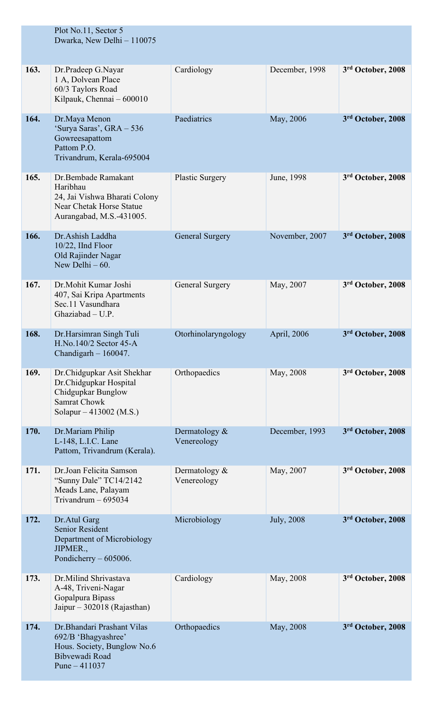|      | Plot No.11, Sector 5<br>Dwarka, New Delhi - 110075                                                                           |                                 |                    |                   |
|------|------------------------------------------------------------------------------------------------------------------------------|---------------------------------|--------------------|-------------------|
| 163. | Dr.Pradeep G.Nayar<br>1 A, Dolvean Place<br>60/3 Taylors Road<br>Kilpauk, Chennai - 600010                                   | Cardiology                      | December, 1998     | 3rd October, 2008 |
| 164. | Dr.Maya Menon<br>'Surya Saras', GRA - 536<br>Gowreesapattom<br>Pattom P.O.<br>Trivandrum, Kerala-695004                      | Paediatrics                     | May, 2006          | 3rd October, 2008 |
| 165. | Dr.Bembade Ramakant<br>Haribhau<br>24, Jai Vishwa Bharati Colony<br>Near Chetak Horse Statue<br>Aurangabad, M.S.-431005.     | <b>Plastic Surgery</b>          | June, 1998         | 3rd October, 2008 |
| 166. | Dr.Ashish Laddha<br>10/22, IInd Floor<br>Old Rajinder Nagar<br>New Delhi $-60$ .                                             | <b>General Surgery</b>          | November, 2007     | 3rd October, 2008 |
| 167. | Dr.Mohit Kumar Joshi<br>407, Sai Kripa Apartments<br>Sec.11 Vasundhara<br>Ghaziabad - U.P.                                   | General Surgery                 | May, 2007          | 3rd October, 2008 |
| 168. | Dr.Harsimran Singh Tuli<br>H.No.140/2 Sector 45-A<br>Chandigarh $-160047$ .                                                  | Otorhinolaryngology             | April, 2006        | 3rd October, 2008 |
| 169. | Dr.Chidgupkar Asit Shekhar<br>Dr.Chidgupkar Hospital<br>Chidgupkar Bunglow<br><b>Samrat Chowk</b><br>Solapur – 413002 (M.S.) | Orthopaedics                    | May, 2008          | 3rd October, 2008 |
| 170. | Dr.Mariam Philip<br>L-148, L.I.C. Lane<br>Pattom, Trivandrum (Kerala).                                                       | Dermatology $\&$<br>Venereology | December, 1993     | 3rd October, 2008 |
| 171. | Dr.Joan Felicita Samson<br>"Sunny Dale" TC14/2142<br>Meads Lane, Palayam<br>Trivandrum $-695034$                             | Dermatology &<br>Venereology    | May, 2007          | 3rd October, 2008 |
| 172. | Dr.Atul Garg<br><b>Senior Resident</b><br>Department of Microbiology<br>JIPMER.,<br>Pondicherry $-605006$ .                  | Microbiology                    | <b>July</b> , 2008 | 3rd October, 2008 |
| 173. | Dr.Milind Shrivastava<br>A-48, Triveni-Nagar<br>Gopalpura Bipass<br>Jaipur – 302018 (Rajasthan)                              | Cardiology                      | May, 2008          | 3rd October, 2008 |
| 174. | Dr. Bhandari Prashant Vilas<br>692/B 'Bhagyashree'<br>Hous. Society, Bunglow No.6<br>Bibvewadi Road<br>Pune $-411037$        | Orthopaedics                    | May, 2008          | 3rd October, 2008 |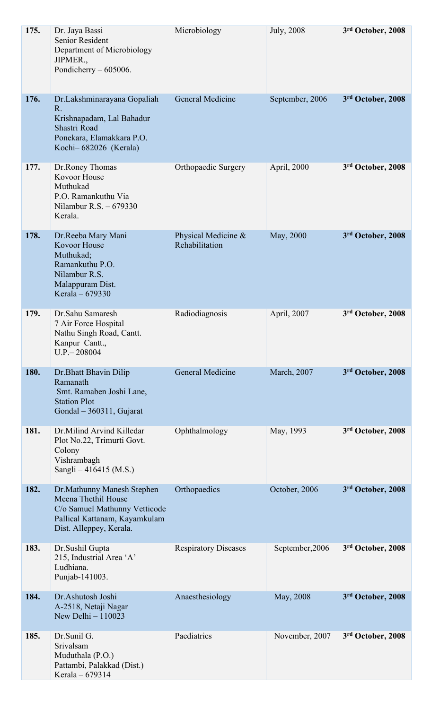| 175. | Dr. Jaya Bassi<br>Senior Resident<br>Department of Microbiology<br>JIPMER.,<br>Pondicherry $-605006$ .                                          | Microbiology                          | July, 2008      | 3rd October, 2008 |
|------|-------------------------------------------------------------------------------------------------------------------------------------------------|---------------------------------------|-----------------|-------------------|
| 176. | Dr.Lakshminarayana Gopaliah<br>R.<br>Krishnapadam, Lal Bahadur<br>Shastri Road<br>Ponekara, Elamakkara P.O.<br>Kochi-682026 (Kerala)            | General Medicine                      | September, 2006 | 3rd October, 2008 |
| 177. | Dr.Roney Thomas<br><b>Kovoor House</b><br>Muthukad<br>P.O. Ramankuthu Via<br>Nilambur R.S. $-679330$<br>Kerala.                                 | Orthopaedic Surgery                   | April, 2000     | 3rd October, 2008 |
| 178. | Dr.Reeba Mary Mani<br><b>Kovoor House</b><br>Muthukad;<br>Ramankuthu P.O.<br>Nilambur R.S.<br>Malappuram Dist.<br>Kerala - 679330               | Physical Medicine &<br>Rehabilitation | May, 2000       | 3rd October, 2008 |
| 179. | Dr.Sahu Samaresh<br>7 Air Force Hospital<br>Nathu Singh Road, Cantt.<br>Kanpur Cantt.,<br>$U.P. - 208004$                                       | Radiodiagnosis                        | April, 2007     | 3rd October, 2008 |
| 180. | Dr.Bhatt Bhavin Dilip<br>Ramanath<br>Smt. Ramaben Joshi Lane,<br><b>Station Plot</b><br>Gondal - 360311, Gujarat                                | General Medicine                      | March, 2007     | 3rd October, 2008 |
| 181. | Dr.Milind Arvind Killedar<br>Plot No.22, Trimurti Govt.<br>Colony<br>Vishrambagh<br>Sangli $-416415$ (M.S.)                                     | Ophthalmology                         | May, 1993       | 3rd October, 2008 |
| 182. | Dr. Mathunny Manesh Stephen<br>Meena Thethil House<br>C/o Samuel Mathunny Vetticode<br>Pallical Kattanam, Kayamkulam<br>Dist. Alleppey, Kerala. | Orthopaedics                          | October, 2006   | 3rd October, 2008 |
| 183. | Dr.Sushil Gupta<br>215, Industrial Area 'A'<br>Ludhiana.<br>Punjab-141003.                                                                      | <b>Respiratory Diseases</b>           | September, 2006 | 3rd October, 2008 |
| 184. | Dr.Ashutosh Joshi<br>A-2518, Netaji Nagar<br>New Delhi $-110023$                                                                                | Anaesthesiology                       | May, 2008       | 3rd October, 2008 |
| 185. | Dr.Sunil G.<br>Srivalsam<br>Muduthala (P.O.)<br>Pattambi, Palakkad (Dist.)<br>Kerala - 679314                                                   | Paediatrics                           | November, 2007  | 3rd October, 2008 |